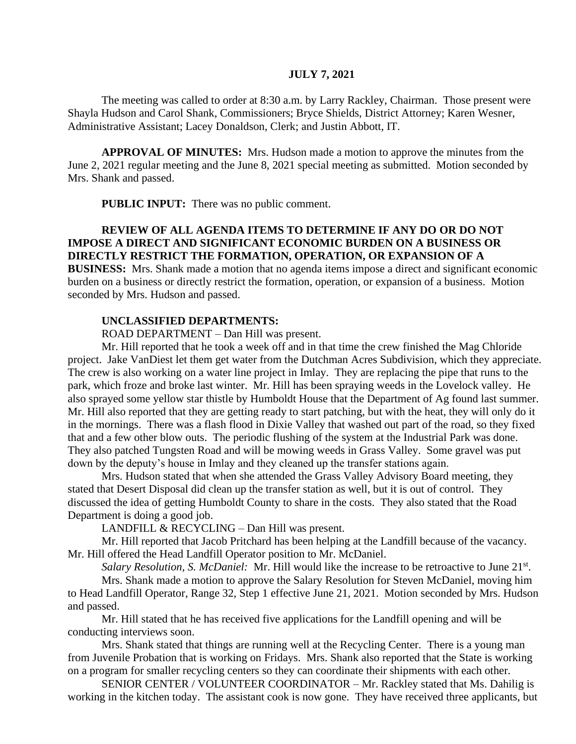# **JULY 7, 2021**

The meeting was called to order at 8:30 a.m. by Larry Rackley, Chairman. Those present were Shayla Hudson and Carol Shank, Commissioners; Bryce Shields, District Attorney; Karen Wesner, Administrative Assistant; Lacey Donaldson, Clerk; and Justin Abbott, IT.

**APPROVAL OF MINUTES:** Mrs. Hudson made a motion to approve the minutes from the June 2, 2021 regular meeting and the June 8, 2021 special meeting as submitted. Motion seconded by Mrs. Shank and passed.

**PUBLIC INPUT:** There was no public comment.

# **REVIEW OF ALL AGENDA ITEMS TO DETERMINE IF ANY DO OR DO NOT IMPOSE A DIRECT AND SIGNIFICANT ECONOMIC BURDEN ON A BUSINESS OR DIRECTLY RESTRICT THE FORMATION, OPERATION, OR EXPANSION OF A**

**BUSINESS:** Mrs. Shank made a motion that no agenda items impose a direct and significant economic burden on a business or directly restrict the formation, operation, or expansion of a business. Motion seconded by Mrs. Hudson and passed.

# **UNCLASSIFIED DEPARTMENTS:**

ROAD DEPARTMENT – Dan Hill was present.

Mr. Hill reported that he took a week off and in that time the crew finished the Mag Chloride project. Jake VanDiest let them get water from the Dutchman Acres Subdivision, which they appreciate. The crew is also working on a water line project in Imlay. They are replacing the pipe that runs to the park, which froze and broke last winter. Mr. Hill has been spraying weeds in the Lovelock valley. He also sprayed some yellow star thistle by Humboldt House that the Department of Ag found last summer. Mr. Hill also reported that they are getting ready to start patching, but with the heat, they will only do it in the mornings. There was a flash flood in Dixie Valley that washed out part of the road, so they fixed that and a few other blow outs. The periodic flushing of the system at the Industrial Park was done. They also patched Tungsten Road and will be mowing weeds in Grass Valley. Some gravel was put down by the deputy's house in Imlay and they cleaned up the transfer stations again.

Mrs. Hudson stated that when she attended the Grass Valley Advisory Board meeting, they stated that Desert Disposal did clean up the transfer station as well, but it is out of control. They discussed the idea of getting Humboldt County to share in the costs. They also stated that the Road Department is doing a good job.

LANDFILL & RECYCLING – Dan Hill was present.

Mr. Hill reported that Jacob Pritchard has been helping at the Landfill because of the vacancy. Mr. Hill offered the Head Landfill Operator position to Mr. McDaniel.

Salary Resolution, S. McDaniel: Mr. Hill would like the increase to be retroactive to June 21<sup>st</sup>.

Mrs. Shank made a motion to approve the Salary Resolution for Steven McDaniel, moving him to Head Landfill Operator, Range 32, Step 1 effective June 21, 2021. Motion seconded by Mrs. Hudson and passed.

Mr. Hill stated that he has received five applications for the Landfill opening and will be conducting interviews soon.

Mrs. Shank stated that things are running well at the Recycling Center. There is a young man from Juvenile Probation that is working on Fridays. Mrs. Shank also reported that the State is working on a program for smaller recycling centers so they can coordinate their shipments with each other.

SENIOR CENTER / VOLUNTEER COORDINATOR – Mr. Rackley stated that Ms. Dahilig is working in the kitchen today. The assistant cook is now gone. They have received three applicants, but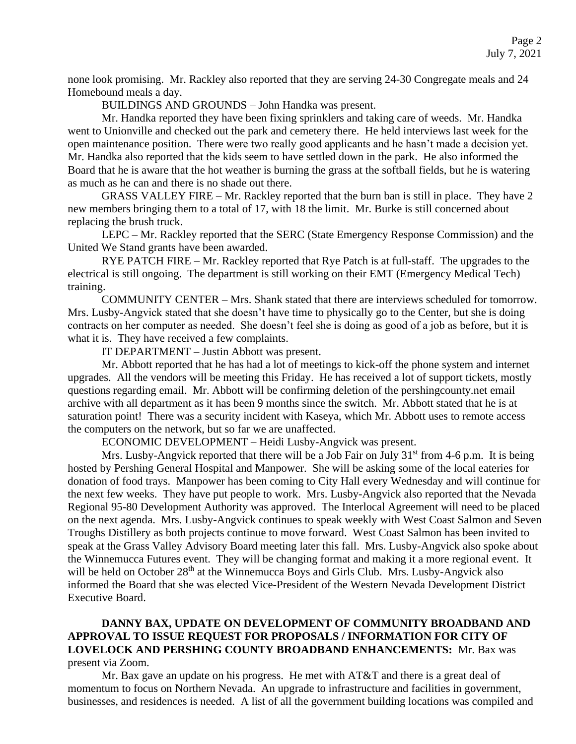none look promising. Mr. Rackley also reported that they are serving 24-30 Congregate meals and 24 Homebound meals a day.

BUILDINGS AND GROUNDS – John Handka was present.

Mr. Handka reported they have been fixing sprinklers and taking care of weeds. Mr. Handka went to Unionville and checked out the park and cemetery there. He held interviews last week for the open maintenance position. There were two really good applicants and he hasn't made a decision yet. Mr. Handka also reported that the kids seem to have settled down in the park. He also informed the Board that he is aware that the hot weather is burning the grass at the softball fields, but he is watering as much as he can and there is no shade out there.

GRASS VALLEY FIRE – Mr. Rackley reported that the burn ban is still in place. They have 2 new members bringing them to a total of 17, with 18 the limit. Mr. Burke is still concerned about replacing the brush truck.

LEPC – Mr. Rackley reported that the SERC (State Emergency Response Commission) and the United We Stand grants have been awarded.

RYE PATCH FIRE – Mr. Rackley reported that Rye Patch is at full-staff. The upgrades to the electrical is still ongoing. The department is still working on their EMT (Emergency Medical Tech) training.

COMMUNITY CENTER – Mrs. Shank stated that there are interviews scheduled for tomorrow. Mrs. Lusby-Angvick stated that she doesn't have time to physically go to the Center, but she is doing contracts on her computer as needed. She doesn't feel she is doing as good of a job as before, but it is what it is. They have received a few complaints.

IT DEPARTMENT – Justin Abbott was present.

Mr. Abbott reported that he has had a lot of meetings to kick-off the phone system and internet upgrades. All the vendors will be meeting this Friday. He has received a lot of support tickets, mostly questions regarding email. Mr. Abbott will be confirming deletion of the pershingcounty.net email archive with all department as it has been 9 months since the switch. Mr. Abbott stated that he is at saturation point! There was a security incident with Kaseya, which Mr. Abbott uses to remote access the computers on the network, but so far we are unaffected.

ECONOMIC DEVELOPMENT – Heidi Lusby-Angvick was present.

Mrs. Lusby-Angvick reported that there will be a Job Fair on July  $31<sup>st</sup>$  from 4-6 p.m. It is being hosted by Pershing General Hospital and Manpower. She will be asking some of the local eateries for donation of food trays. Manpower has been coming to City Hall every Wednesday and will continue for the next few weeks. They have put people to work. Mrs. Lusby-Angvick also reported that the Nevada Regional 95-80 Development Authority was approved. The Interlocal Agreement will need to be placed on the next agenda. Mrs. Lusby-Angvick continues to speak weekly with West Coast Salmon and Seven Troughs Distillery as both projects continue to move forward. West Coast Salmon has been invited to speak at the Grass Valley Advisory Board meeting later this fall. Mrs. Lusby-Angvick also spoke about the Winnemucca Futures event. They will be changing format and making it a more regional event. It will be held on October  $28<sup>th</sup>$  at the Winnemucca Boys and Girls Club. Mrs. Lusby-Angvick also informed the Board that she was elected Vice-President of the Western Nevada Development District Executive Board.

# **DANNY BAX, UPDATE ON DEVELOPMENT OF COMMUNITY BROADBAND AND APPROVAL TO ISSUE REQUEST FOR PROPOSALS / INFORMATION FOR CITY OF LOVELOCK AND PERSHING COUNTY BROADBAND ENHANCEMENTS:** Mr. Bax was present via Zoom.

Mr. Bax gave an update on his progress. He met with AT&T and there is a great deal of momentum to focus on Northern Nevada. An upgrade to infrastructure and facilities in government, businesses, and residences is needed. A list of all the government building locations was compiled and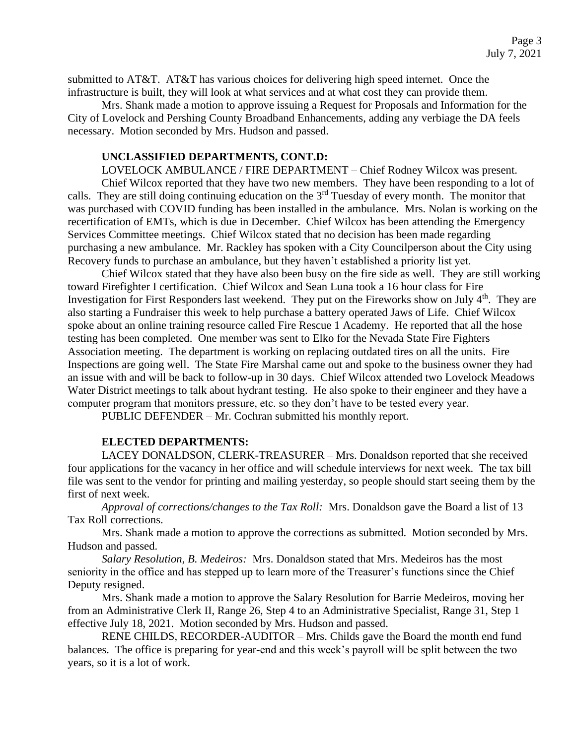submitted to AT&T. AT&T has various choices for delivering high speed internet. Once the infrastructure is built, they will look at what services and at what cost they can provide them.

Mrs. Shank made a motion to approve issuing a Request for Proposals and Information for the City of Lovelock and Pershing County Broadband Enhancements, adding any verbiage the DA feels necessary. Motion seconded by Mrs. Hudson and passed.

### **UNCLASSIFIED DEPARTMENTS, CONT.D:**

LOVELOCK AMBULANCE / FIRE DEPARTMENT – Chief Rodney Wilcox was present. Chief Wilcox reported that they have two new members. They have been responding to a lot of calls. They are still doing continuing education on the  $3<sup>rd</sup>$  Tuesday of every month. The monitor that was purchased with COVID funding has been installed in the ambulance. Mrs. Nolan is working on the recertification of EMTs, which is due in December. Chief Wilcox has been attending the Emergency Services Committee meetings. Chief Wilcox stated that no decision has been made regarding purchasing a new ambulance. Mr. Rackley has spoken with a City Councilperson about the City using Recovery funds to purchase an ambulance, but they haven't established a priority list yet.

Chief Wilcox stated that they have also been busy on the fire side as well. They are still working toward Firefighter I certification. Chief Wilcox and Sean Luna took a 16 hour class for Fire Investigation for First Responders last weekend. They put on the Fireworks show on July 4<sup>th</sup>. They are also starting a Fundraiser this week to help purchase a battery operated Jaws of Life. Chief Wilcox spoke about an online training resource called Fire Rescue 1 Academy. He reported that all the hose testing has been completed. One member was sent to Elko for the Nevada State Fire Fighters Association meeting. The department is working on replacing outdated tires on all the units. Fire Inspections are going well. The State Fire Marshal came out and spoke to the business owner they had an issue with and will be back to follow-up in 30 days. Chief Wilcox attended two Lovelock Meadows Water District meetings to talk about hydrant testing. He also spoke to their engineer and they have a computer program that monitors pressure, etc. so they don't have to be tested every year.

PUBLIC DEFENDER – Mr. Cochran submitted his monthly report.

### **ELECTED DEPARTMENTS:**

LACEY DONALDSON, CLERK-TREASURER – Mrs. Donaldson reported that she received four applications for the vacancy in her office and will schedule interviews for next week. The tax bill file was sent to the vendor for printing and mailing yesterday, so people should start seeing them by the first of next week.

*Approval of corrections/changes to the Tax Roll:* Mrs. Donaldson gave the Board a list of 13 Tax Roll corrections.

Mrs. Shank made a motion to approve the corrections as submitted. Motion seconded by Mrs. Hudson and passed.

*Salary Resolution, B. Medeiros:* Mrs. Donaldson stated that Mrs. Medeiros has the most seniority in the office and has stepped up to learn more of the Treasurer's functions since the Chief Deputy resigned.

Mrs. Shank made a motion to approve the Salary Resolution for Barrie Medeiros, moving her from an Administrative Clerk II, Range 26, Step 4 to an Administrative Specialist, Range 31, Step 1 effective July 18, 2021. Motion seconded by Mrs. Hudson and passed.

RENE CHILDS, RECORDER-AUDITOR – Mrs. Childs gave the Board the month end fund balances. The office is preparing for year-end and this week's payroll will be split between the two years, so it is a lot of work.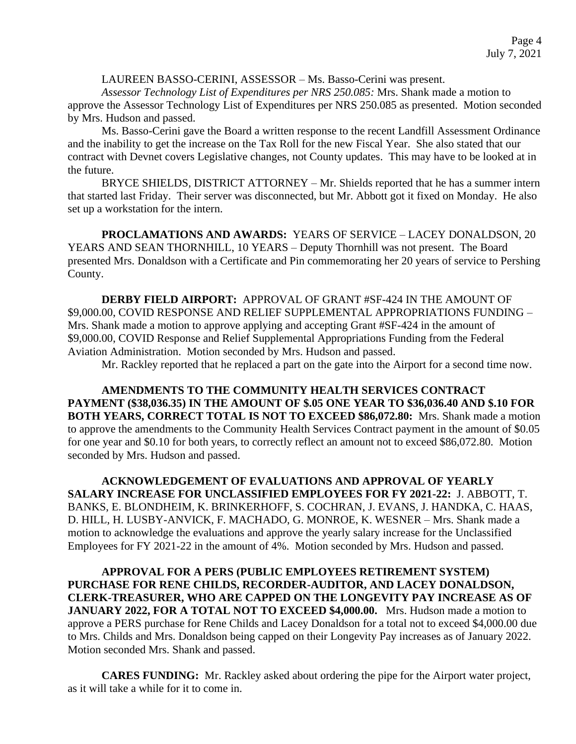## LAUREEN BASSO-CERINI, ASSESSOR – Ms. Basso-Cerini was present.

*Assessor Technology List of Expenditures per NRS 250.085:* Mrs. Shank made a motion to approve the Assessor Technology List of Expenditures per NRS 250.085 as presented. Motion seconded by Mrs. Hudson and passed.

Ms. Basso-Cerini gave the Board a written response to the recent Landfill Assessment Ordinance and the inability to get the increase on the Tax Roll for the new Fiscal Year. She also stated that our contract with Devnet covers Legislative changes, not County updates. This may have to be looked at in the future.

BRYCE SHIELDS, DISTRICT ATTORNEY – Mr. Shields reported that he has a summer intern that started last Friday. Their server was disconnected, but Mr. Abbott got it fixed on Monday. He also set up a workstation for the intern.

**PROCLAMATIONS AND AWARDS:** YEARS OF SERVICE – LACEY DONALDSON, 20 YEARS AND SEAN THORNHILL, 10 YEARS – Deputy Thornhill was not present. The Board presented Mrs. Donaldson with a Certificate and Pin commemorating her 20 years of service to Pershing County.

**DERBY FIELD AIRPORT:** APPROVAL OF GRANT #SF-424 IN THE AMOUNT OF \$9,000.00, COVID RESPONSE AND RELIEF SUPPLEMENTAL APPROPRIATIONS FUNDING – Mrs. Shank made a motion to approve applying and accepting Grant #SF-424 in the amount of \$9,000.00, COVID Response and Relief Supplemental Appropriations Funding from the Federal Aviation Administration. Motion seconded by Mrs. Hudson and passed.

Mr. Rackley reported that he replaced a part on the gate into the Airport for a second time now.

**AMENDMENTS TO THE COMMUNITY HEALTH SERVICES CONTRACT PAYMENT (\$38,036.35) IN THE AMOUNT OF \$.05 ONE YEAR TO \$36,036.40 AND \$.10 FOR BOTH YEARS, CORRECT TOTAL IS NOT TO EXCEED \$86,072.80:** Mrs. Shank made a motion to approve the amendments to the Community Health Services Contract payment in the amount of \$0.05 for one year and \$0.10 for both years, to correctly reflect an amount not to exceed \$86,072.80. Motion seconded by Mrs. Hudson and passed.

**ACKNOWLEDGEMENT OF EVALUATIONS AND APPROVAL OF YEARLY SALARY INCREASE FOR UNCLASSIFIED EMPLOYEES FOR FY 2021-22:** J. ABBOTT, T. BANKS, E. BLONDHEIM, K. BRINKERHOFF, S. COCHRAN, J. EVANS, J. HANDKA, C. HAAS, D. HILL, H. LUSBY-ANVICK, F. MACHADO, G. MONROE, K. WESNER – Mrs. Shank made a motion to acknowledge the evaluations and approve the yearly salary increase for the Unclassified Employees for FY 2021-22 in the amount of 4%. Motion seconded by Mrs. Hudson and passed.

**APPROVAL FOR A PERS (PUBLIC EMPLOYEES RETIREMENT SYSTEM) PURCHASE FOR RENE CHILDS, RECORDER-AUDITOR, AND LACEY DONALDSON, CLERK-TREASURER, WHO ARE CAPPED ON THE LONGEVITY PAY INCREASE AS OF JANUARY 2022, FOR A TOTAL NOT TO EXCEED \$4,000.00.** Mrs. Hudson made a motion to approve a PERS purchase for Rene Childs and Lacey Donaldson for a total not to exceed \$4,000.00 due to Mrs. Childs and Mrs. Donaldson being capped on their Longevity Pay increases as of January 2022. Motion seconded Mrs. Shank and passed.

**CARES FUNDING:** Mr. Rackley asked about ordering the pipe for the Airport water project, as it will take a while for it to come in.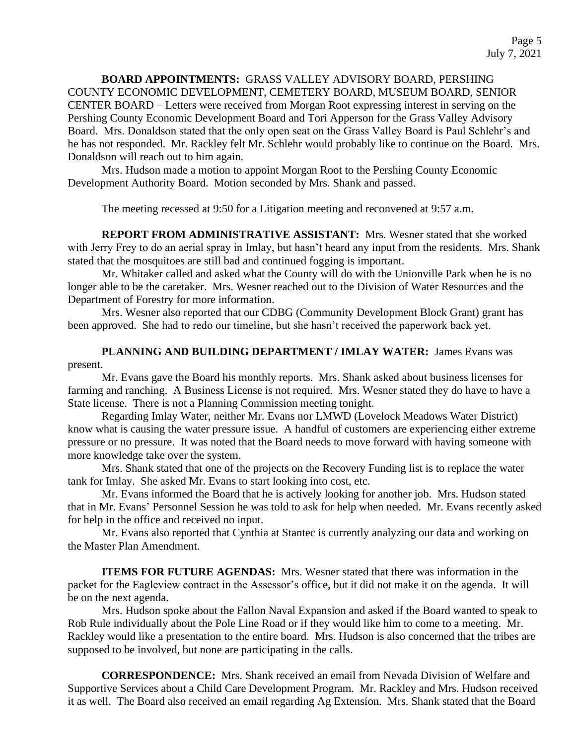**BOARD APPOINTMENTS:** GRASS VALLEY ADVISORY BOARD, PERSHING COUNTY ECONOMIC DEVELOPMENT, CEMETERY BOARD, MUSEUM BOARD, SENIOR CENTER BOARD – Letters were received from Morgan Root expressing interest in serving on the Pershing County Economic Development Board and Tori Apperson for the Grass Valley Advisory Board. Mrs. Donaldson stated that the only open seat on the Grass Valley Board is Paul Schlehr's and he has not responded. Mr. Rackley felt Mr. Schlehr would probably like to continue on the Board. Mrs. Donaldson will reach out to him again.

Mrs. Hudson made a motion to appoint Morgan Root to the Pershing County Economic Development Authority Board. Motion seconded by Mrs. Shank and passed.

The meeting recessed at 9:50 for a Litigation meeting and reconvened at 9:57 a.m.

**REPORT FROM ADMINISTRATIVE ASSISTANT:** Mrs. Wesner stated that she worked with Jerry Frey to do an aerial spray in Imlay, but hasn't heard any input from the residents. Mrs. Shank stated that the mosquitoes are still bad and continued fogging is important.

Mr. Whitaker called and asked what the County will do with the Unionville Park when he is no longer able to be the caretaker. Mrs. Wesner reached out to the Division of Water Resources and the Department of Forestry for more information.

Mrs. Wesner also reported that our CDBG (Community Development Block Grant) grant has been approved. She had to redo our timeline, but she hasn't received the paperwork back yet.

PLANNING AND BUILDING DEPARTMENT / IMLAY WATER: James Evans was present.

Mr. Evans gave the Board his monthly reports. Mrs. Shank asked about business licenses for farming and ranching. A Business License is not required. Mrs. Wesner stated they do have to have a State license. There is not a Planning Commission meeting tonight.

Regarding Imlay Water, neither Mr. Evans nor LMWD (Lovelock Meadows Water District) know what is causing the water pressure issue. A handful of customers are experiencing either extreme pressure or no pressure. It was noted that the Board needs to move forward with having someone with more knowledge take over the system.

Mrs. Shank stated that one of the projects on the Recovery Funding list is to replace the water tank for Imlay. She asked Mr. Evans to start looking into cost, etc.

Mr. Evans informed the Board that he is actively looking for another job. Mrs. Hudson stated that in Mr. Evans' Personnel Session he was told to ask for help when needed. Mr. Evans recently asked for help in the office and received no input.

Mr. Evans also reported that Cynthia at Stantec is currently analyzing our data and working on the Master Plan Amendment.

**ITEMS FOR FUTURE AGENDAS:** Mrs. Wesner stated that there was information in the packet for the Eagleview contract in the Assessor's office, but it did not make it on the agenda. It will be on the next agenda.

Mrs. Hudson spoke about the Fallon Naval Expansion and asked if the Board wanted to speak to Rob Rule individually about the Pole Line Road or if they would like him to come to a meeting. Mr. Rackley would like a presentation to the entire board. Mrs. Hudson is also concerned that the tribes are supposed to be involved, but none are participating in the calls.

**CORRESPONDENCE:** Mrs. Shank received an email from Nevada Division of Welfare and Supportive Services about a Child Care Development Program. Mr. Rackley and Mrs. Hudson received it as well. The Board also received an email regarding Ag Extension. Mrs. Shank stated that the Board